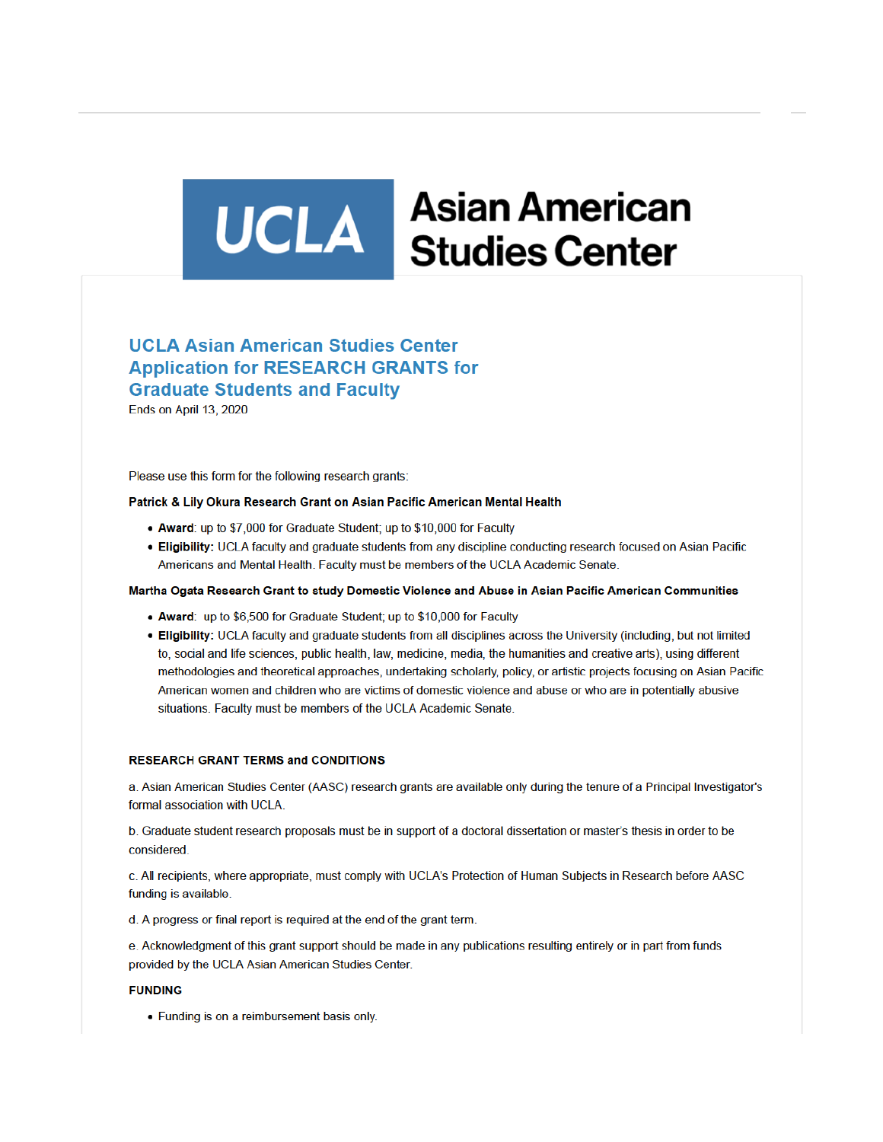# **UCLA** Asian American

# **UCLA Asian American Studies Center Application for RESEARCH GRANTS for Graduate Students and Faculty**

Ends on April 13, 2020

Please use this form for the following research grants:

### Patrick & Lily Okura Research Grant on Asian Pacific American Mental Health

- Award: up to \$7,000 for Graduate Student; up to \$10,000 for Faculty
- . Eligibility: UCLA faculty and graduate students from any discipline conducting research focused on Asian Pacific Americans and Mental Health. Faculty must be members of the UCLA Academic Senate.

### Martha Ogata Research Grant to study Domestic Violence and Abuse in Asian Pacific American Communities

- Award: up to \$6,500 for Graduate Student; up to \$10,000 for Faculty
- . Eligibility: UCLA faculty and graduate students from all disciplines across the University (including, but not limited to, social and life sciences, public health, law, medicine, media, the humanities and creative arts), using different methodologies and theoretical approaches, undertaking scholarly, policy, or artistic projects focusing on Asian Pacific American women and children who are victims of domestic violence and abuse or who are in potentially abusive situations. Faculty must be members of the UCLA Academic Senate.

### **RESEARCH GRANT TERMS and CONDITIONS**

a. Asian American Studies Center (AASC) research grants are available only during the tenure of a Principal Investigator's formal association with UCLA.

b. Graduate student research proposals must be in support of a doctoral dissertation or master's thesis in order to be considered

c. All recipients, where appropriate, must comply with UCLA's Protection of Human Subjects in Research before AASC funding is available.

d. A progress or final report is required at the end of the grant term.

e. Acknowledgment of this grant support should be made in any publications resulting entirely or in part from funds provided by the UCLA Asian American Studies Center.

### **FUNDING**

• Funding is on a reimbursement basis only.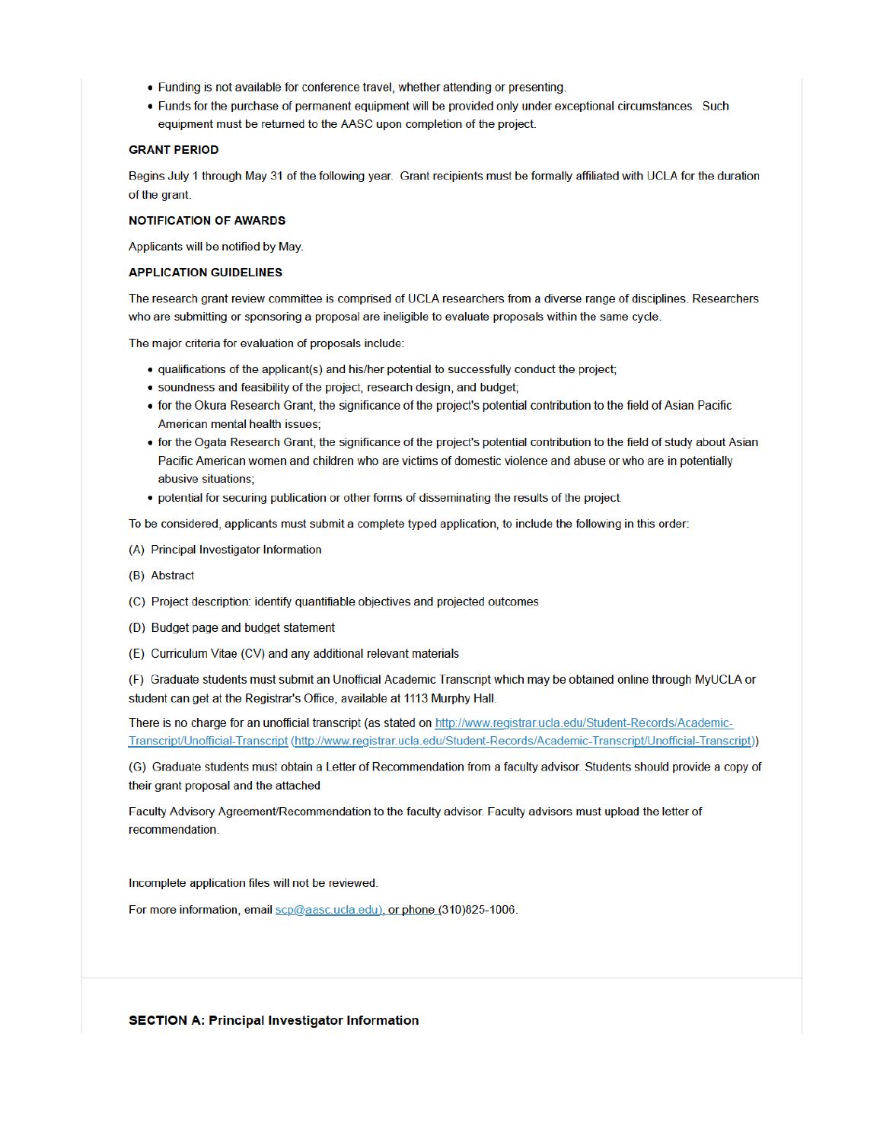- Funding is not available for conference travel, whether attending or presenting.
- Funds for the purchase of permanent equipment will be provided only under exceptional circumstances. Such equipment must be returned to the AASC upon completion of the project.

### **GRANT PERIOD**

Begins July 1 through May 31 of the following year. Grant recipients must be formally affiliated with UCLA for the duration of the grant.

### **NOTIFICATION OF AWARDS**

Applicants will be notified by May.

# **APPLICATION GUIDELINES**

The research grant review committee is comprised of UCLA researchers from a diverse range of disciplines. Researchers who are submitting or sponsoring a proposal are ineligible to evaluate proposals within the same cycle.

The major criteria for evaluation of proposals include:

- qualifications of the applicant(s) and his/her potential to successfully conduct the project;
- · soundness and feasibility of the project, research design, and budget;
- for the Okura Research Grant, the significance of the project's potential contribution to the field of Asian Pacific American mental health issues;
- for the Ogata Research Grant, the significance of the project's potential contribution to the field of study about Asian Pacific American women and children who are victims of domestic violence and abuse or who are in potentially abusive situations;
- potential for securing publication or other forms of disseminating the results of the project.

To be considered, applicants must submit a complete typed application, to include the following in this order:

- (A) Principal Investigator Information
- (B) Abstract
- (C) Project description: identify quantifiable objectives and projected outcomes
- (D) Budget page and budget statement
- (E) Curriculum Vitae (CV) and any additional relevant materials

(F) Graduate students must submit an Unofficial Academic Transcript which may be obtained online through MyUCLA or student can get at the Registrar's Office, available at 1113 Murphy Hall.

There is no charge for an unofficial transcript (as stated on http://www.registrar.ucla.edu/Student-Records/Academic-Transcript/Unofficial-Transcript (http://www.registrar.ucla.edu/Student-Records/Academic-Transcript/Unofficial-Transcript))

(G) Graduate students must obtain a Letter of Recommendation from a faculty advisor. Students should provide a copy of their grant proposal and the attached

Faculty Advisory Agreement/Recommendation to the faculty advisor. Faculty advisors must upload the letter of recommendation.

Incomplete application files will not be reviewed.

For more information, email scp@aasc.ucla.edu), or phone (310)825-1006.

**SECTION A: Principal Investigator Information**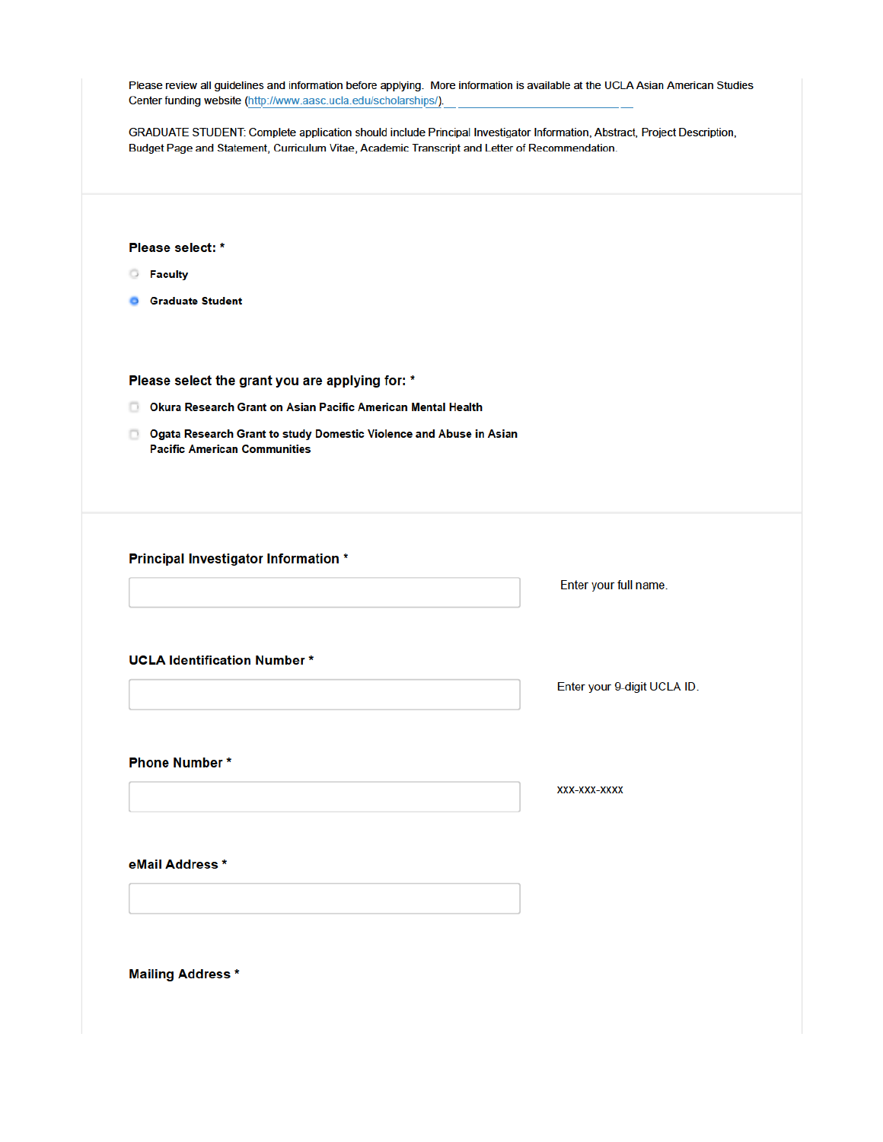| GRADUATE STUDENT: Complete application should include Principal Investigator Information, Abstract, Project Description,<br>Budget Page and Statement, Curriculum Vitae, Academic Transcript and Letter of Recommendation. |                             |
|----------------------------------------------------------------------------------------------------------------------------------------------------------------------------------------------------------------------------|-----------------------------|
|                                                                                                                                                                                                                            |                             |
| Please select: *                                                                                                                                                                                                           |                             |
| <b>Faculty</b><br>$\circ$                                                                                                                                                                                                  |                             |
| <b>Graduate Student</b>                                                                                                                                                                                                    |                             |
|                                                                                                                                                                                                                            |                             |
| Please select the grant you are applying for: *                                                                                                                                                                            |                             |
| <b>De Okura Research Grant on Asian Pacific American Mental Health</b>                                                                                                                                                     |                             |
| <b>D</b> Ogata Research Grant to study Domestic Violence and Abuse in Asian<br><b>Pacific American Communities</b>                                                                                                         |                             |
|                                                                                                                                                                                                                            |                             |
|                                                                                                                                                                                                                            |                             |
|                                                                                                                                                                                                                            |                             |
| <b>Principal Investigator Information *</b>                                                                                                                                                                                |                             |
|                                                                                                                                                                                                                            | Enter your full name.       |
|                                                                                                                                                                                                                            |                             |
| <b>UCLA Identification Number*</b>                                                                                                                                                                                         |                             |
|                                                                                                                                                                                                                            | Enter your 9-digit UCLA ID. |
|                                                                                                                                                                                                                            |                             |
| <b>Phone Number*</b>                                                                                                                                                                                                       |                             |
|                                                                                                                                                                                                                            | XXX-XXX-XXXX                |
|                                                                                                                                                                                                                            |                             |
|                                                                                                                                                                                                                            |                             |
| eMail Address *                                                                                                                                                                                                            |                             |
|                                                                                                                                                                                                                            |                             |
|                                                                                                                                                                                                                            |                             |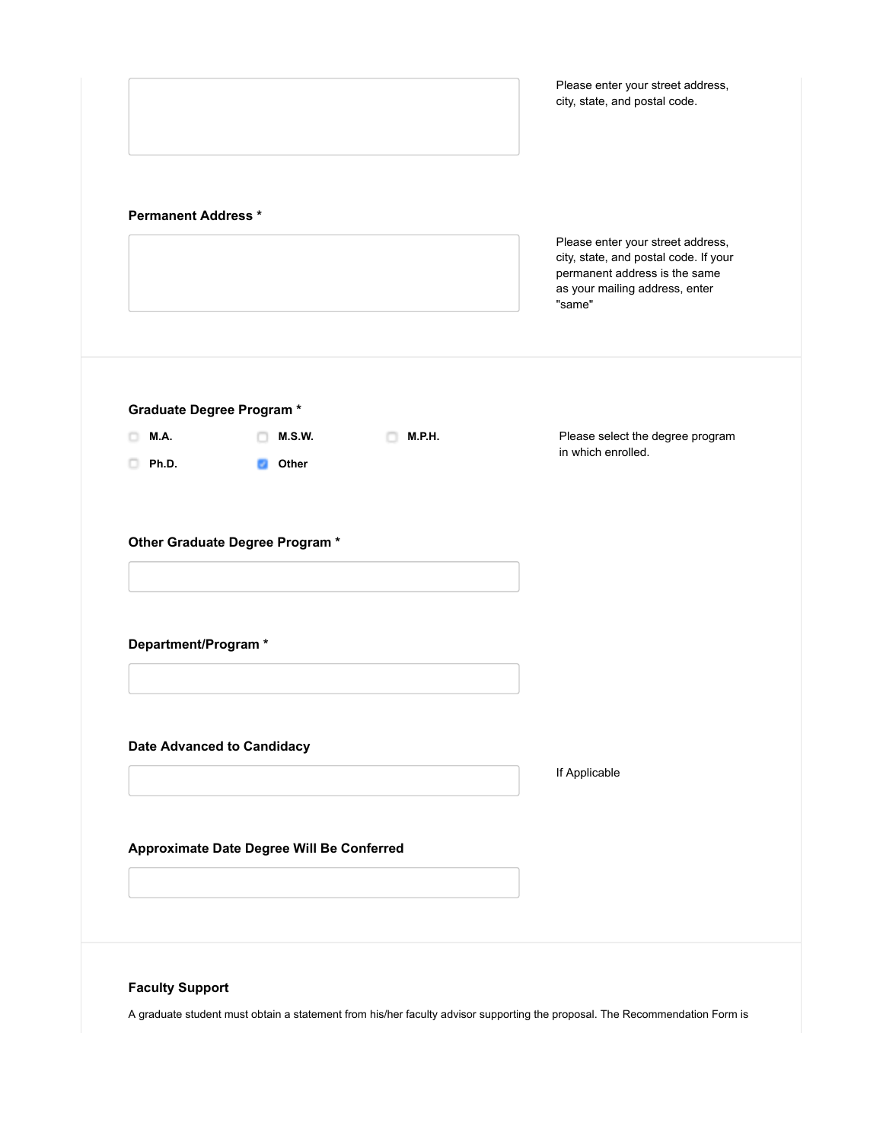|                                 |                                           |                    | city, state, and postal code.                                                                                                                           |
|---------------------------------|-------------------------------------------|--------------------|---------------------------------------------------------------------------------------------------------------------------------------------------------|
| <b>Permanent Address *</b>      |                                           |                    | Please enter your street address,<br>city, state, and postal code. If your<br>permanent address is the same<br>as your mailing address, enter<br>"same" |
| <b>Graduate Degree Program*</b> |                                           |                    |                                                                                                                                                         |
| M.A.                            | <b>M.S.W.</b>                             | <b>M.P.H.</b><br>n | Please select the degree program<br>in which enrolled.                                                                                                  |
|                                 | Other Graduate Degree Program *           |                    |                                                                                                                                                         |
|                                 |                                           |                    |                                                                                                                                                         |
|                                 | <b>Date Advanced to Candidacy</b>         |                    | If Applicable                                                                                                                                           |
| Department/Program *            | Approximate Date Degree Will Be Conferred |                    |                                                                                                                                                         |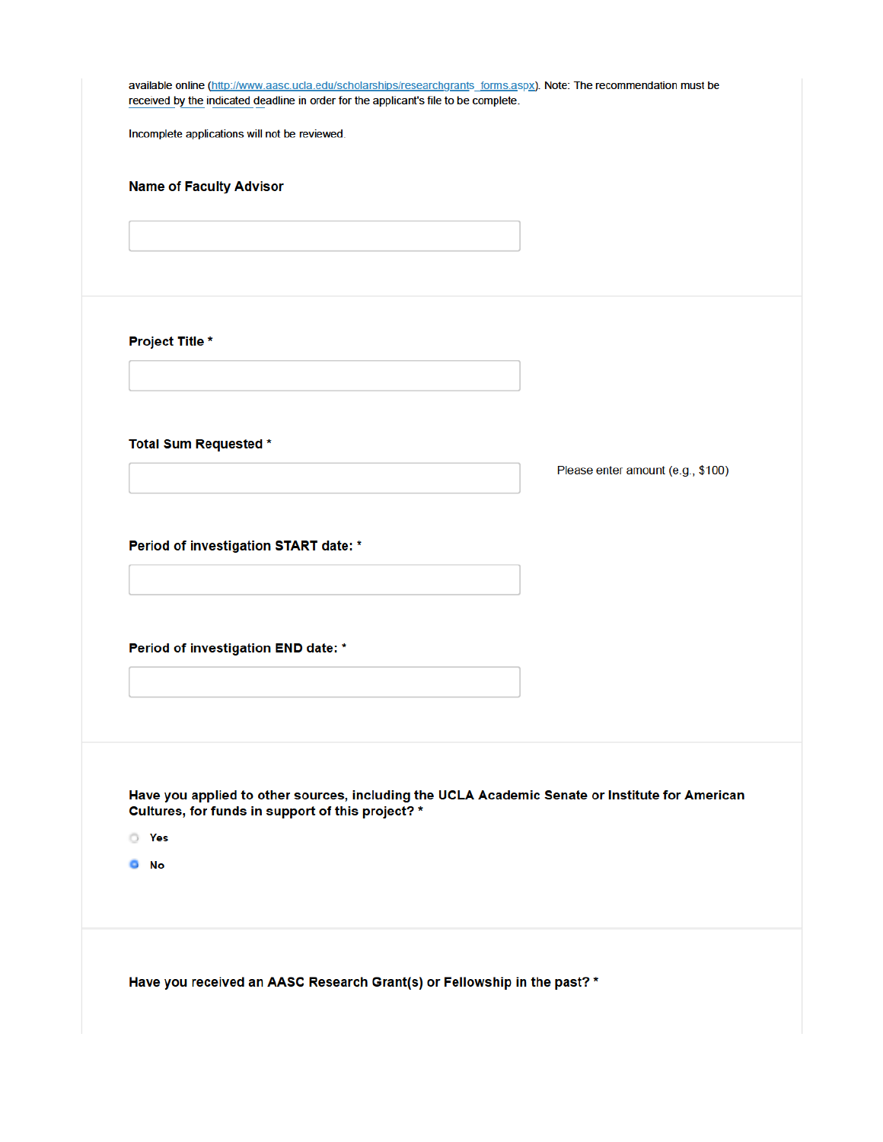| received by the indicated deadline in order for the applicant's file to be complete.            |                                   |
|-------------------------------------------------------------------------------------------------|-----------------------------------|
| Incomplete applications will not be reviewed.                                                   |                                   |
| <b>Name of Faculty Advisor</b>                                                                  |                                   |
|                                                                                                 |                                   |
|                                                                                                 |                                   |
|                                                                                                 |                                   |
| <b>Project Title *</b>                                                                          |                                   |
|                                                                                                 |                                   |
|                                                                                                 |                                   |
| <b>Total Sum Requested *</b>                                                                    |                                   |
|                                                                                                 | Please enter amount (e.g., \$100) |
|                                                                                                 |                                   |
| Period of investigation START date: *                                                           |                                   |
|                                                                                                 |                                   |
|                                                                                                 |                                   |
| Period of investigation END date: *                                                             |                                   |
|                                                                                                 |                                   |
|                                                                                                 |                                   |
|                                                                                                 |                                   |
| Have you applied to other sources, including the UCLA Academic Senate or Institute for American |                                   |
| Cultures, for funds in support of this project? *<br><b>P</b> Yes                               |                                   |
| <b>O</b> No                                                                                     |                                   |
|                                                                                                 |                                   |
|                                                                                                 |                                   |
|                                                                                                 |                                   |
| Have you received an AASC Research Grant(s) or Fellowship in the past? *                        |                                   |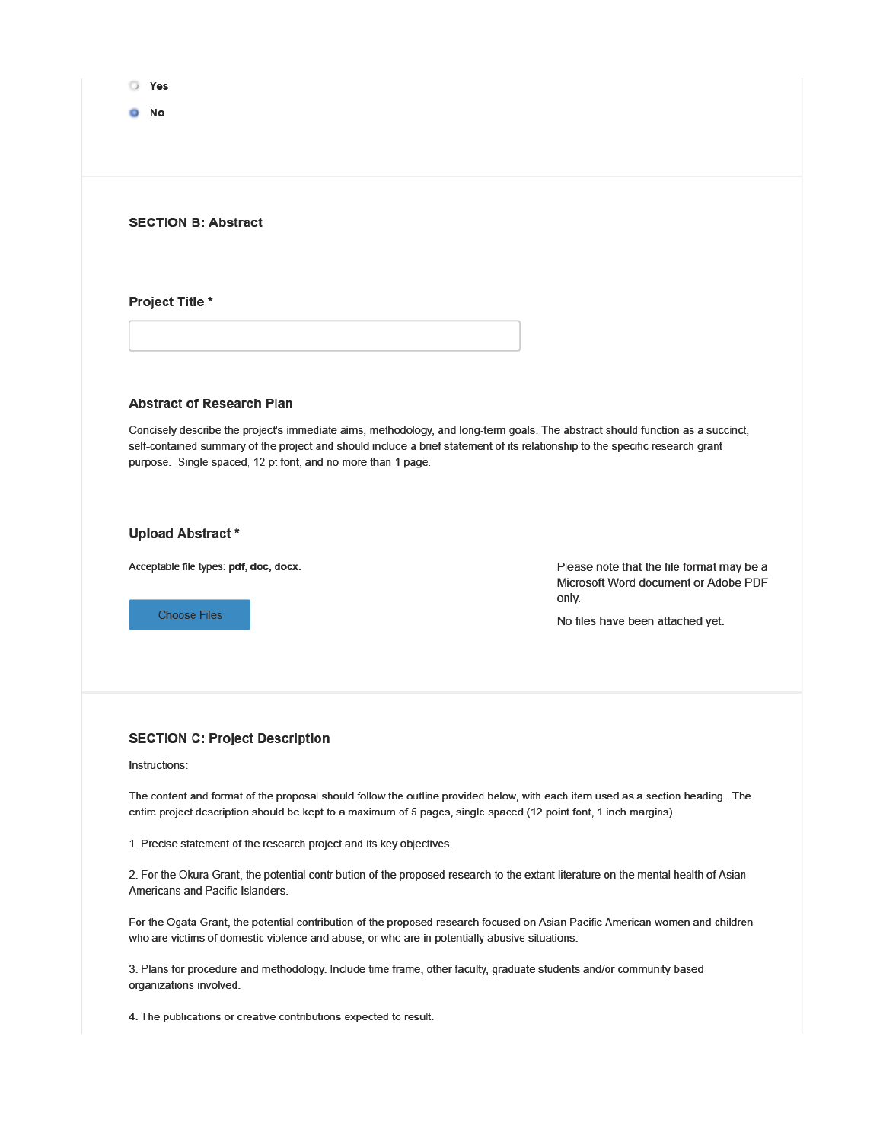|--|

 $0$  No

# **SECTION B: Abstract**

Project Title \*

### **Abstract of Research Plan**

Concisely describe the project's immediate aims, methodology, and long-term goals. The abstract should function as a succinct, self-contained summary of the project and should include a brief statement of its relationship to the specific research grant purpose. Single spaced, 12 pt font, and no more than 1 page.

### **Upload Abstract\***

Acceptable file types: pdf, doc, docx.

**Choose Files** 

Please note that the file format may be a Microsoft Word document or Adobe PDF only.

No files have been attached yet.

# **SECTION C: Project Description**

### Instructions:

The content and format of the proposal should follow the outline provided below, with each item used as a section heading. The entire project description should be kept to a maximum of 5 pages, single spaced (12 point font, 1 inch margins).

1. Precise statement of the research project and its key objectives.

2. For the Okura Grant, the potential contr bution of the proposed research to the extant literature on the mental health of Asian Americans and Pacific Islanders.

For the Ogata Grant, the potential contribution of the proposed research focused on Asian Pacific American women and children who are victims of domestic violence and abuse, or who are in potentially abusive situations.

3. Plans for procedure and methodology. Include time frame, other faculty, graduate students and/or community based organizations involved.

4. The publications or creative contributions expected to result.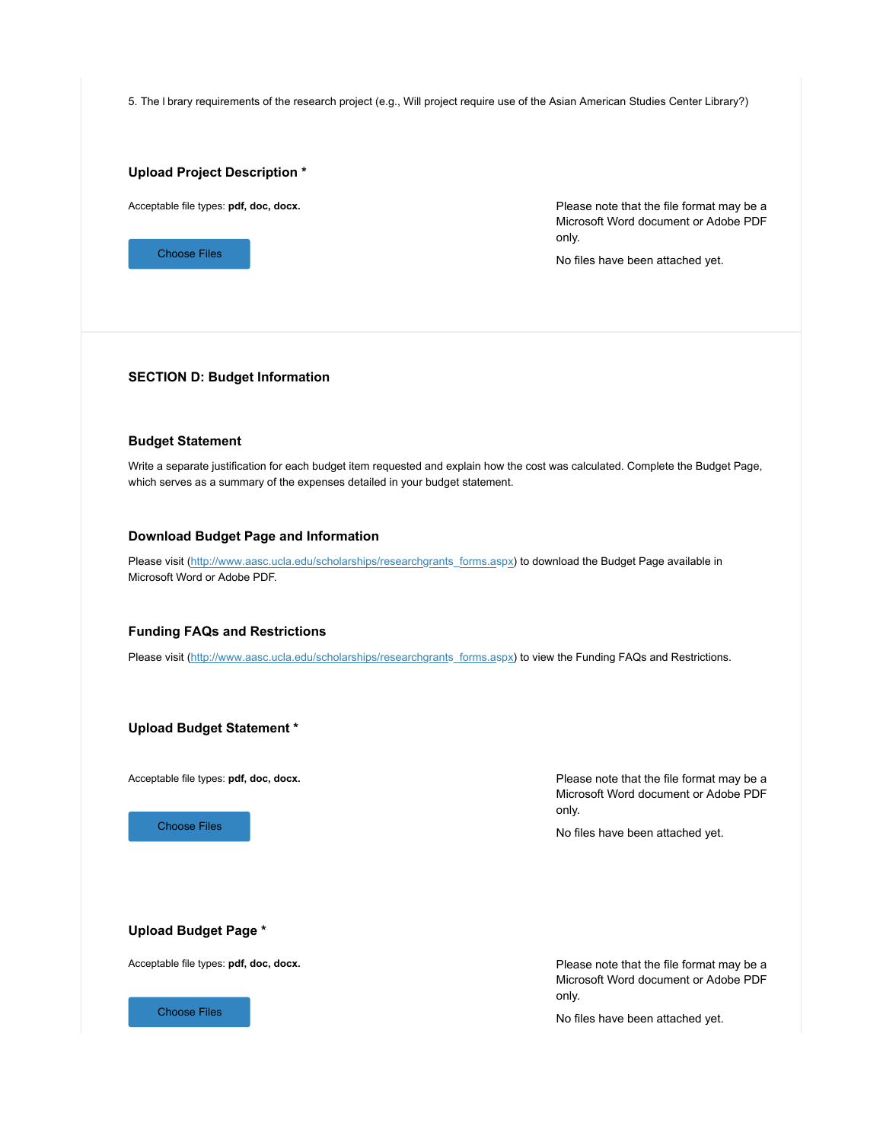5. The l brary requirements of the research project (e.g., Will project require use of the Asian American Studies Center Library?)

# **Upload Project Description \***

Acceptable file types: **pdf, doc, docx.**



Please note that the file format may be a Microsoft Word document or Adobe PDF only.

No files have been attached yet.

### **SECTION D: Budget Information**

# **Budget Statement**

Write a separate justification for each budget item requested and explain how the cost was calculated. Complete the Budget Page, which serves as a summary of the expenses detailed in your budget statement.

### **Download Budget Page and Information**

Please visit (http://www.aasc.ucla.edu/scholarships/researchgrants\_forms.aspx) to download the Budget Page available in Microsoft Word or Adobe PDF.

### **Funding FAQs and Restrictions**

Please visit (http://www.aasc.ucla.edu/scholarships/researchgrants\_forms.aspx) to view the Funding FAQs and Restrictions.

**Upload Budget Statement \***

Acceptable file types: **pdf, doc, docx.**

Choose Files

Please note that the file format may be a Microsoft Word document or Adobe PDF only.

No files have been attached yet.

# **Upload Budget Page \***

Acceptable file types: **pdf, doc, docx.**



Please note that the file format may be a Microsoft Word document or Adobe PDF only.

No files have been attached yet.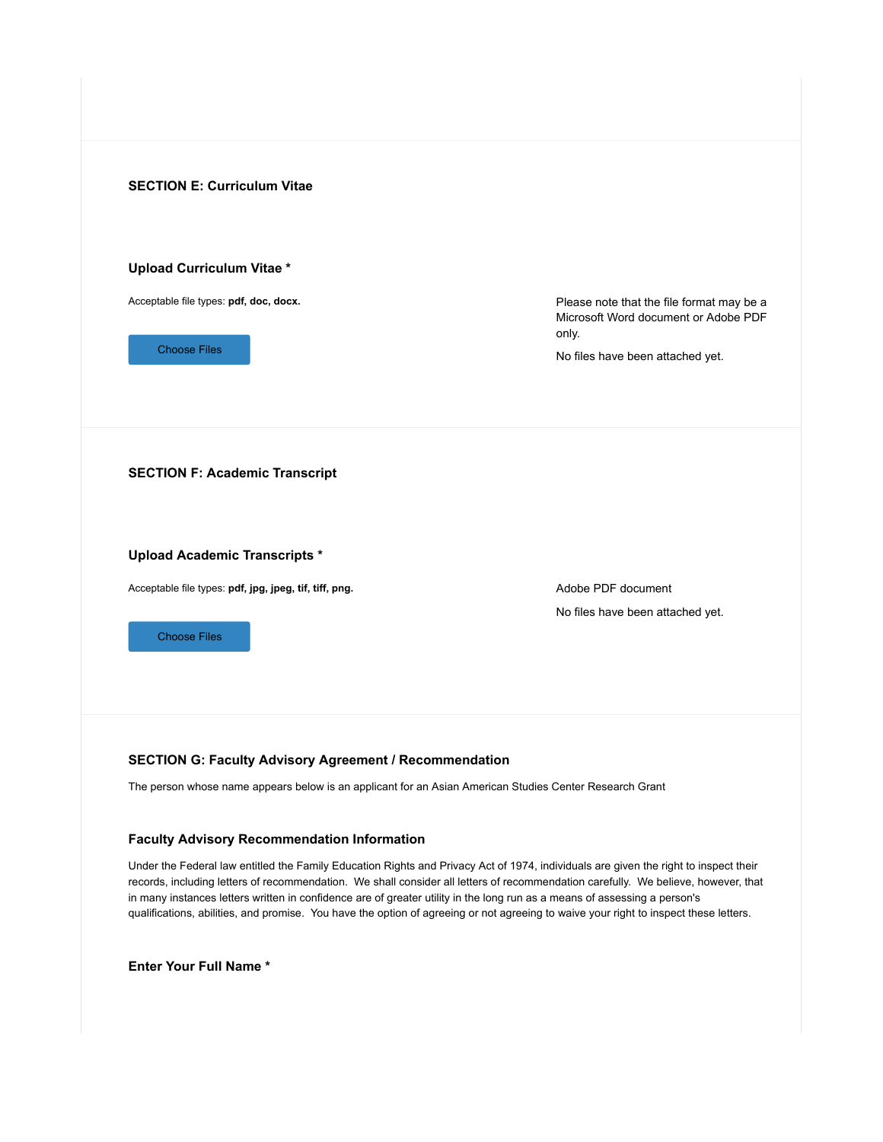

# **SECTION G: Faculty Advisory Agreement / Recommendation**

The person whose name appears below is an applicant for an Asian American Studies Center Research Grant

# **Faculty Advisory Recommendation Information**

Under the Federal law entitled the Family Education Rights and Privacy Act of 1974, individuals are given the right to inspect their records, including letters of recommendation. We shall consider all letters of recommendation carefully. We believe, however, that in many instances letters written in confidence are of greater utility in the long run as a means of assessing a person's qualifications, abilities, and promise. You have the option of agreeing or not agreeing to waive your right to inspect these letters.

**Enter Your Full Name \***